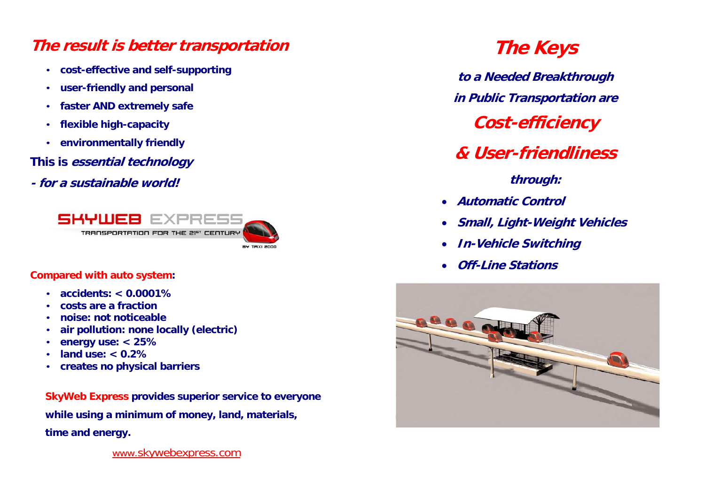## **The result is better transportation**

- **cost-effective and self-supporting**
- •**user-friendly and personal**
- **faster AND extremely safe**
- •**flexible high-capacity**
- **environmentally friendly**

**This is essential technology** 

**- for a sustainable world!** 



#### **Compared with auto system:**

- **accidents: < 0.0001%**
- **costs are a fraction**
- •**noise: not noticeable**
- •**air pollution: none locally (electric)**
- •**energy use: < 25%**
- •**land use: < 0.2%**
- •**creates no physical barriers**

**SkyWeb Express provides superior service to everyone while using a minimum of money, land, materials, time and energy.** 

www.skywebexpress.com

# **The Keys**

**to a Needed Breakthrough in Public Transportation are** 

**Cost-efficiency** 

## **& User-friendliness**

**through:** 

- **Automatic Control**
- $\bullet$ **Small, Light-Weight Vehicles**
- **In-Vehicle Switching**
- **Off-Line Stations**